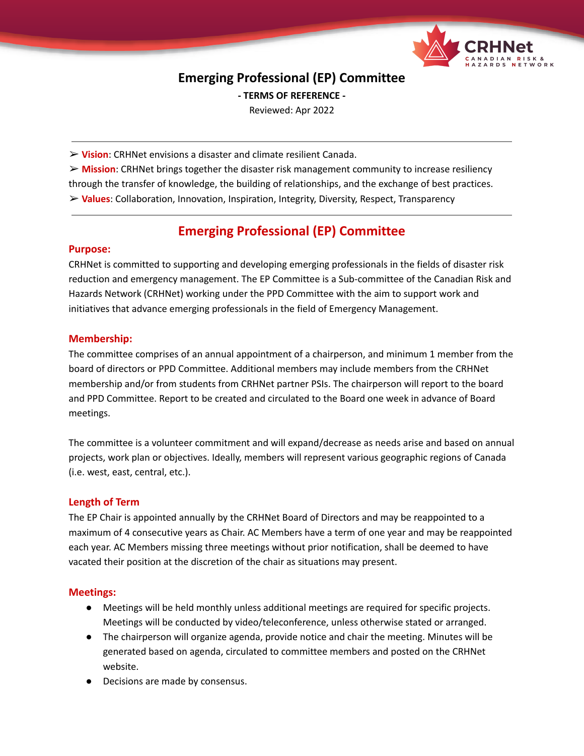

# **Emerging Professional (EP) Committee**

**- TERMS OF REFERENCE -**

Reviewed: Apr 2022

➢ **Vision**: CRHNet envisions a disaster and climate resilient Canada.

➢ **Mission**: CRHNet brings together the disaster risk management community to increase resiliency through the transfer of knowledge, the building of relationships, and the exchange of best practices. ➢ **Values**: Collaboration, Innovation, Inspiration, Integrity, Diversity, Respect, Transparency

# **Emerging Professional (EP) Committee**

### **Purpose:**

CRHNet is committed to supporting and developing emerging professionals in the fields of disaster risk reduction and emergency management. The EP Committee is a Sub-committee of the Canadian Risk and Hazards Network (CRHNet) working under the PPD Committee with the aim to support work and initiatives that advance emerging professionals in the field of Emergency Management.

## **Membership:**

The committee comprises of an annual appointment of a chairperson, and minimum 1 member from the board of directors or PPD Committee. Additional members may include members from the CRHNet membership and/or from students from CRHNet partner PSIs. The chairperson will report to the board and PPD Committee. Report to be created and circulated to the Board one week in advance of Board meetings.

The committee is a volunteer commitment and will expand/decrease as needs arise and based on annual projects, work plan or objectives. Ideally, members will represent various geographic regions of Canada (i.e. west, east, central, etc.).

### **Length of Term**

The EP Chair is appointed annually by the CRHNet Board of Directors and may be reappointed to a maximum of 4 consecutive years as Chair. AC Members have a term of one year and may be reappointed each year. AC Members missing three meetings without prior notification, shall be deemed to have vacated their position at the discretion of the chair as situations may present.

### **Meetings:**

- Meetings will be held monthly unless additional meetings are required for specific projects. Meetings will be conducted by video/teleconference, unless otherwise stated or arranged.
- The chairperson will organize agenda, provide notice and chair the meeting. Minutes will be generated based on agenda, circulated to committee members and posted on the CRHNet website.
- Decisions are made by consensus.